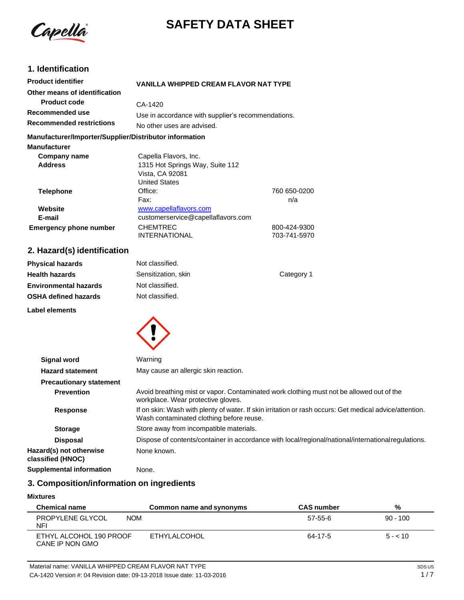

# **SAFETY DATA SHEET**

### **1. Identification**

| <b>Product identifier</b>                              | <b>VANILLA WHIPPED CREAM FLAVOR NAT TYPE</b>       |              |
|--------------------------------------------------------|----------------------------------------------------|--------------|
| Other means of identification                          |                                                    |              |
| <b>Product code</b>                                    | CA-1420                                            |              |
| Recommended use                                        | Use in accordance with supplier's recommendations. |              |
| <b>Recommended restrictions</b>                        | No other uses are advised.                         |              |
| Manufacturer/Importer/Supplier/Distributor information |                                                    |              |
| <b>Manufacturer</b>                                    |                                                    |              |
| Company name                                           | Capella Flavors, Inc.                              |              |
| <b>Address</b>                                         | 1315 Hot Springs Way, Suite 112                    |              |
|                                                        | Vista, CA 92081                                    |              |
|                                                        | United States                                      |              |
| <b>Telephone</b>                                       | Office:                                            | 760 650-0200 |
|                                                        | Fax:                                               | n/a          |
| Website                                                | www.capellaflavors.com                             |              |
| E-mail                                                 | customerservice@capellaflavors.com                 |              |
| <b>Emergency phone number</b>                          | <b>CHEMTREC</b>                                    | 800-424-9300 |
|                                                        | <b>INTERNATIONAL</b>                               | 703-741-5970 |

### **2. Hazard(s) identification**

| <b>Physical hazards</b>      | Not classified.     |            |
|------------------------------|---------------------|------------|
| <b>Health hazards</b>        | Sensitization, skin | Category 1 |
| <b>Environmental hazards</b> | Not classified.     |            |
| <b>OSHA defined hazards</b>  | Not classified.     |            |
| Label elements               |                     |            |



| <b>Signal word</b>                           | Warning                                                                                                                                             |
|----------------------------------------------|-----------------------------------------------------------------------------------------------------------------------------------------------------|
| <b>Hazard statement</b>                      | May cause an allergic skin reaction.                                                                                                                |
| <b>Precautionary statement</b>               |                                                                                                                                                     |
| <b>Prevention</b>                            | Avoid breathing mist or vapor. Contaminated work clothing must not be allowed out of the<br>workplace. Wear protective gloves.                      |
| <b>Response</b>                              | If on skin: Wash with plenty of water. If skin irritation or rash occurs: Get medical advice/attention.<br>Wash contaminated clothing before reuse. |
| <b>Storage</b>                               | Store away from incompatible materials.                                                                                                             |
| <b>Disposal</b>                              | Dispose of contents/container in accordance with local/regional/national/international regulations.                                                 |
| Hazard(s) not otherwise<br>classified (HNOC) | None known.                                                                                                                                         |
| <b>Supplemental information</b>              | None.                                                                                                                                               |

### **3. Composition/information on ingredients**

#### **Mixtures**

| <b>Chemical name</b>                        | Common name and synonyms | <b>CAS number</b> | %          |
|---------------------------------------------|--------------------------|-------------------|------------|
| PROPYLENE GLYCOL<br><b>NOM</b><br><b>NF</b> |                          | 57-55-6           | $90 - 100$ |
| ETHYL ALCOHOL 190 PROOF<br>CANE IP NON GMO  | ETHYLALCOHOL             | 64-17-5           | $5 - 10$   |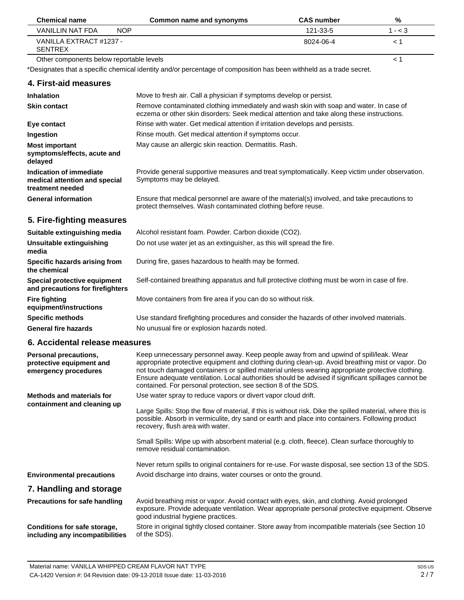| <b>Chemical name</b>                      |            | Common name and synonyms | <b>CAS number</b> | %         |
|-------------------------------------------|------------|--------------------------|-------------------|-----------|
| VANILLIN NAT FDA                          | <b>NOP</b> |                          | 121-33-5          | $1 - < 3$ |
| VANILLA EXTRACT #1237 -<br><b>SENTREX</b> |            |                          | 8024-06-4         |           |

Other components below reportable levels

\*Designates that a specific chemical identity and/or percentage of composition has been withheld as a trade secret.

#### **4. First-aid measures**

| <b>Inhalation</b>                                                            | Move to fresh air. Call a physician if symptoms develop or persist.                                                                                                                 |
|------------------------------------------------------------------------------|-------------------------------------------------------------------------------------------------------------------------------------------------------------------------------------|
| <b>Skin contact</b>                                                          | Remove contaminated clothing immediately and wash skin with soap and water. In case of<br>eczema or other skin disorders: Seek medical attention and take along these instructions. |
| Eye contact                                                                  | Rinse with water. Get medical attention if irritation develops and persists.                                                                                                        |
| Ingestion                                                                    | Rinse mouth. Get medical attention if symptoms occur.                                                                                                                               |
| <b>Most important</b><br>symptoms/effects, acute and<br>delayed              | May cause an allergic skin reaction. Dermatitis. Rash.                                                                                                                              |
| Indication of immediate<br>medical attention and special<br>treatment needed | Provide general supportive measures and treat symptomatically. Keep victim under observation.<br>Symptoms may be delayed.                                                           |
| <b>General information</b>                                                   | Ensure that medical personnel are aware of the material(s) involved, and take precautions to<br>protect themselves. Wash contaminated clothing before reuse.                        |

#### **5. Fire-fighting measures**

| Suitable extinguishing media                                     | Alcohol resistant foam. Powder. Carbon dioxide (CO2).                                         |
|------------------------------------------------------------------|-----------------------------------------------------------------------------------------------|
| Unsuitable extinguishing<br>media                                | Do not use water jet as an extinguisher, as this will spread the fire.                        |
| Specific hazards arising from<br>the chemical                    | During fire, gases hazardous to health may be formed.                                         |
| Special protective equipment<br>and precautions for firefighters | Self-contained breathing apparatus and full protective clothing must be worn in case of fire. |
| Fire fighting<br>equipment/instructions                          | Move containers from fire area if you can do so without risk.                                 |
| <b>Specific methods</b>                                          | Use standard firefighting procedures and consider the hazards of other involved materials.    |
| <b>General fire hazards</b>                                      | No unusual fire or explosion hazards noted.                                                   |

#### **6. Accidental release measures**

| Personal precautions,<br>protective equipment and<br>emergency procedures | Keep unnecessary personnel away. Keep people away from and upwind of spill/leak. Wear<br>appropriate protective equipment and clothing during clean-up. Avoid breathing mist or vapor. Do<br>not touch damaged containers or spilled material unless wearing appropriate protective clothing.<br>Ensure adequate ventilation. Local authorities should be advised if significant spillages cannot be<br>contained. For personal protection, see section 8 of the SDS. |
|---------------------------------------------------------------------------|-----------------------------------------------------------------------------------------------------------------------------------------------------------------------------------------------------------------------------------------------------------------------------------------------------------------------------------------------------------------------------------------------------------------------------------------------------------------------|
| <b>Methods and materials for</b>                                          | Use water spray to reduce vapors or divert vapor cloud drift.                                                                                                                                                                                                                                                                                                                                                                                                         |
| containment and cleaning up                                               | Large Spills: Stop the flow of material, if this is without risk. Dike the spilled material, where this is<br>possible. Absorb in vermiculite, dry sand or earth and place into containers. Following product<br>recovery, flush area with water.                                                                                                                                                                                                                     |
|                                                                           | Small Spills: Wipe up with absorbent material (e.g. cloth, fleece). Clean surface thoroughly to<br>remove residual contamination.                                                                                                                                                                                                                                                                                                                                     |
|                                                                           | Never return spills to original containers for re-use. For waste disposal, see section 13 of the SDS.                                                                                                                                                                                                                                                                                                                                                                 |
| <b>Environmental precautions</b>                                          | Avoid discharge into drains, water courses or onto the ground.                                                                                                                                                                                                                                                                                                                                                                                                        |
| 7. Handling and storage                                                   |                                                                                                                                                                                                                                                                                                                                                                                                                                                                       |
| <b>Precautions for safe handling</b>                                      | Avoid breathing mist or vapor. Avoid contact with eyes, skin, and clothing. Avoid prolonged<br>exposure. Provide adequate ventilation. Wear appropriate personal protective equipment. Observe<br>good industrial hygiene practices.                                                                                                                                                                                                                                  |
| Conditions for safe storage,<br>including any incompatibilities           | Store in original tightly closed container. Store away from incompatible materials (see Section 10<br>of the SDS).                                                                                                                                                                                                                                                                                                                                                    |

< 1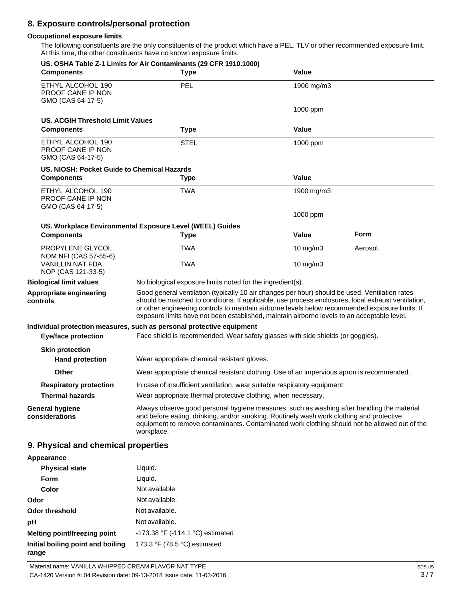### **8. Exposure controls/personal protection**

#### **Occupational exposure limits**

The following constituents are the only constituents of the product which have a PEL, TLV or other recommended exposure limit. At this time, the other constituents have no known exposure limits.

| <b>Components</b>                                                      | US. OSHA Table Z-1 Limits for Air Contaminants (29 CFR 1910.1000)<br><b>Type</b>                                                                                                                                                                                                                                                                                                                       | Value       |             |
|------------------------------------------------------------------------|--------------------------------------------------------------------------------------------------------------------------------------------------------------------------------------------------------------------------------------------------------------------------------------------------------------------------------------------------------------------------------------------------------|-------------|-------------|
| ETHYL ALCOHOL 190<br>PROOF CANE IP NON<br>GMO (CAS 64-17-5)            | PEL                                                                                                                                                                                                                                                                                                                                                                                                    | 1900 mg/m3  |             |
|                                                                        |                                                                                                                                                                                                                                                                                                                                                                                                        | 1000 ppm    |             |
| US. ACGIH Threshold Limit Values                                       |                                                                                                                                                                                                                                                                                                                                                                                                        |             |             |
| <b>Components</b>                                                      | <b>Type</b>                                                                                                                                                                                                                                                                                                                                                                                            | Value       |             |
| ETHYL ALCOHOL 190<br>PROOF CANE IP NON<br>GMO (CAS 64-17-5)            | <b>STEL</b>                                                                                                                                                                                                                                                                                                                                                                                            | 1000 ppm    |             |
| US. NIOSH: Pocket Guide to Chemical Hazards                            |                                                                                                                                                                                                                                                                                                                                                                                                        |             |             |
| <b>Components</b>                                                      | <b>Type</b>                                                                                                                                                                                                                                                                                                                                                                                            | Value       |             |
| ETHYL ALCOHOL 190<br>PROOF CANE IP NON<br>GMO (CAS 64-17-5)            | TWA                                                                                                                                                                                                                                                                                                                                                                                                    | 1900 mg/m3  |             |
|                                                                        |                                                                                                                                                                                                                                                                                                                                                                                                        | 1000 ppm    |             |
|                                                                        | US. Workplace Environmental Exposure Level (WEEL) Guides                                                                                                                                                                                                                                                                                                                                               |             |             |
| <b>Components</b>                                                      | <b>Type</b>                                                                                                                                                                                                                                                                                                                                                                                            | Value       | <b>Form</b> |
| PROPYLENE GLYCOL                                                       | <b>TWA</b>                                                                                                                                                                                                                                                                                                                                                                                             | 10 mg/m3    | Aerosol.    |
| NOM NFI (CAS 57-55-6)<br><b>VANILLIN NAT FDA</b><br>NOP (CAS 121-33-5) | TWA                                                                                                                                                                                                                                                                                                                                                                                                    | 10 mg/m $3$ |             |
| <b>Biological limit values</b>                                         | No biological exposure limits noted for the ingredient(s).                                                                                                                                                                                                                                                                                                                                             |             |             |
| Appropriate engineering<br>controls                                    | Good general ventilation (typically 10 air changes per hour) should be used. Ventilation rates<br>should be matched to conditions. If applicable, use process enclosures, local exhaust ventilation,<br>or other engineering controls to maintain airborne levels below recommended exposure limits. If<br>exposure limits have not been established, maintain airborne levels to an acceptable level. |             |             |
| <b>Eye/face protection</b>                                             | Individual protection measures, such as personal protective equipment<br>Face shield is recommended. Wear safety glasses with side shields (or goggles).                                                                                                                                                                                                                                               |             |             |
| <b>Skin protection</b>                                                 |                                                                                                                                                                                                                                                                                                                                                                                                        |             |             |
| <b>Hand protection</b>                                                 | Wear appropriate chemical resistant gloves.                                                                                                                                                                                                                                                                                                                                                            |             |             |
| Other                                                                  | Wear appropriate chemical resistant clothing. Use of an impervious apron is recommended.                                                                                                                                                                                                                                                                                                               |             |             |
| <b>Respiratory protection</b>                                          | In case of insufficient ventilation, wear suitable respiratory equipment.                                                                                                                                                                                                                                                                                                                              |             |             |
| <b>Thermal hazards</b>                                                 | Wear appropriate thermal protective clothing, when necessary.                                                                                                                                                                                                                                                                                                                                          |             |             |
| <b>General hygiene</b><br>considerations                               | Always observe good personal hygiene measures, such as washing after handling the material<br>and before eating, drinking, and/or smoking. Routinely wash work clothing and protective<br>equipment to remove contaminants. Contaminated work clothing should not be allowed out of the<br>workplace.                                                                                                  |             |             |
| 9. Physical and chemical properties                                    |                                                                                                                                                                                                                                                                                                                                                                                                        |             |             |

| Appearance                                 |                                  |
|--------------------------------------------|----------------------------------|
| <b>Physical state</b>                      | Liquid.                          |
| Form                                       | Liquid.                          |
| Color                                      | Not available.                   |
| Odor                                       | Not available.                   |
| Odor threshold                             | Not available.                   |
| рH                                         | Not available.                   |
| <b>Melting point/freezing point</b>        | -173.38 °F (-114.1 °C) estimated |
| Initial boiling point and boiling<br>range | 173.3 °F (78.5 °C) estimated     |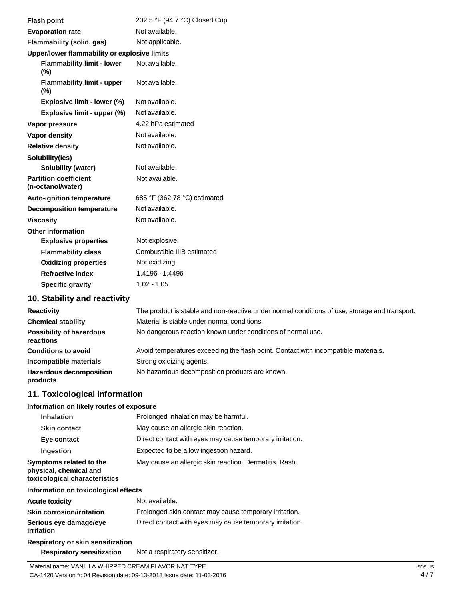| <b>Flash point</b>                                | 202.5 °F (94.7 °C) Closed Cup |
|---------------------------------------------------|-------------------------------|
| <b>Evaporation rate</b>                           | Not available.                |
| Flammability (solid, gas)                         | Not applicable.               |
| Upper/lower flammability or explosive limits      |                               |
| <b>Flammability limit - lower</b><br>(%)          | Not available.                |
| <b>Flammability limit - upper</b><br>$(\%)$       | Not available.                |
| Explosive limit - lower (%)                       | Not available.                |
| Explosive limit - upper (%)                       | Not available.                |
| Vapor pressure                                    | 4.22 hPa estimated            |
| <b>Vapor density</b>                              | Not available.                |
| <b>Relative density</b>                           | Not available.                |
| Solubility(ies)                                   |                               |
| Solubility (water)                                | Not available.                |
| <b>Partition coefficient</b><br>(n-octanol/water) | Not available.                |
| <b>Auto-ignition temperature</b>                  | 685 °F (362.78 °C) estimated  |
| <b>Decomposition temperature</b>                  | Not available.                |
| <b>Viscosity</b>                                  | Not available.                |
| <b>Other information</b>                          |                               |
| <b>Explosive properties</b>                       | Not explosive.                |
| <b>Flammability class</b>                         | Combustible IIIB estimated    |
| <b>Oxidizing properties</b>                       | Not oxidizing.                |
| <b>Refractive index</b>                           | 1.4196 - 1.4496               |
| <b>Specific gravity</b>                           | $1.02 - 1.05$                 |
|                                                   |                               |

### **10. Stability and reactivity**

| <b>Reactivity</b>                            | The product is stable and non-reactive under normal conditions of use, storage and transport. |
|----------------------------------------------|-----------------------------------------------------------------------------------------------|
| <b>Chemical stability</b>                    | Material is stable under normal conditions.                                                   |
| <b>Possibility of hazardous</b><br>reactions | No dangerous reaction known under conditions of normal use.                                   |
| <b>Conditions to avoid</b>                   | Avoid temperatures exceeding the flash point. Contact with incompatible materials.            |
| Incompatible materials                       | Strong oxidizing agents.                                                                      |
| <b>Hazardous decomposition</b><br>products   | No hazardous decomposition products are known.                                                |

### **11. Toxicological information**

#### **Information on likely routes of exposure**

| <b>Inhalation</b>                                                                  | Prolonged inhalation may be harmful.                     |  |
|------------------------------------------------------------------------------------|----------------------------------------------------------|--|
| <b>Skin contact</b>                                                                | May cause an allergic skin reaction.                     |  |
| Eye contact                                                                        | Direct contact with eyes may cause temporary irritation. |  |
| Ingestion                                                                          | Expected to be a low ingestion hazard.                   |  |
| Symptoms related to the<br>physical, chemical and<br>toxicological characteristics | May cause an allergic skin reaction. Dermatitis. Rash.   |  |
| Information on toxicological effects                                               |                                                          |  |
| <b>Acute toxicity</b>                                                              | Not available.                                           |  |
| <b>Skin corrosion/irritation</b>                                                   | Prolonged skin contact may cause temporary irritation.   |  |
| Serious eye damage/eye<br>irritation                                               | Direct contact with eyes may cause temporary irritation. |  |
| Respiratory or skin sensitization                                                  |                                                          |  |
|                                                                                    |                                                          |  |

**Respiratory sensitization** Not a respiratory sensitizer.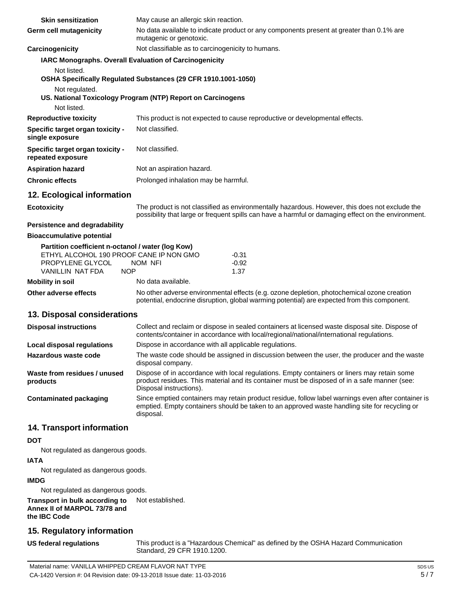| <b>Skin sensitization</b>                                    | May cause an allergic skin reaction.                                                                                                                                                                                   |  |  |
|--------------------------------------------------------------|------------------------------------------------------------------------------------------------------------------------------------------------------------------------------------------------------------------------|--|--|
| Germ cell mutagenicity                                       | No data available to indicate product or any components present at greater than 0.1% are<br>mutagenic or genotoxic.                                                                                                    |  |  |
| Carcinogenicity                                              | Not classifiable as to carcinogenicity to humans.                                                                                                                                                                      |  |  |
|                                                              | <b>IARC Monographs. Overall Evaluation of Carcinogenicity</b>                                                                                                                                                          |  |  |
| Not listed.                                                  | OSHA Specifically Regulated Substances (29 CFR 1910.1001-1050)                                                                                                                                                         |  |  |
| Not regulated.                                               | US. National Toxicology Program (NTP) Report on Carcinogens                                                                                                                                                            |  |  |
| Not listed.                                                  |                                                                                                                                                                                                                        |  |  |
| <b>Reproductive toxicity</b>                                 | This product is not expected to cause reproductive or developmental effects.                                                                                                                                           |  |  |
| Specific target organ toxicity -<br>single exposure          | Not classified.                                                                                                                                                                                                        |  |  |
| <b>Specific target organ toxicity -</b><br>repeated exposure | Not classified.                                                                                                                                                                                                        |  |  |
| <b>Aspiration hazard</b>                                     | Not an aspiration hazard.                                                                                                                                                                                              |  |  |
| <b>Chronic effects</b>                                       | Prolonged inhalation may be harmful.                                                                                                                                                                                   |  |  |
| 12. Ecological information                                   |                                                                                                                                                                                                                        |  |  |
| <b>Ecotoxicity</b>                                           | The product is not classified as environmentally hazardous. However, this does not exclude the<br>possibility that large or frequent spills can have a harmful or damaging effect on the environment.                  |  |  |
| <b>Persistence and degradability</b>                         |                                                                                                                                                                                                                        |  |  |
| <b>Bioaccumulative potential</b>                             |                                                                                                                                                                                                                        |  |  |
| Partition coefficient n-octanol / water (log Kow)            |                                                                                                                                                                                                                        |  |  |
| ETHYL ALCOHOL 190 PROOF CANE IP NON GMO<br>PROPYLENE GLYCOL  | -0.31<br>NOM NFI<br>$-0.92$                                                                                                                                                                                            |  |  |
| VANILLIN NAT FDA<br><b>NOP</b>                               | 1.37                                                                                                                                                                                                                   |  |  |
| <b>Mobility in soil</b>                                      | No data available.                                                                                                                                                                                                     |  |  |
| Other adverse effects                                        | No other adverse environmental effects (e.g. ozone depletion, photochemical ozone creation<br>potential, endocrine disruption, global warming potential) are expected from this component.                             |  |  |
| 13. Disposal considerations                                  |                                                                                                                                                                                                                        |  |  |
| <b>Disposal instructions</b>                                 | Collect and reclaim or dispose in sealed containers at licensed waste disposal site. Dispose of<br>contents/container in accordance with local/regional/national/international regulations.                            |  |  |
| <b>Local disposal regulations</b>                            | Dispose in accordance with all applicable regulations.                                                                                                                                                                 |  |  |
| Hazardous waste code                                         | The waste code should be assigned in discussion between the user, the producer and the waste<br>disposal company.                                                                                                      |  |  |
| Waste from residues / unused<br>products                     | Dispose of in accordance with local regulations. Empty containers or liners may retain some<br>product residues. This material and its container must be disposed of in a safe manner (see:<br>Disposal instructions). |  |  |
| <b>Contaminated packaging</b>                                | Since emptied containers may retain product residue, follow label warnings even after container is<br>emptied. Empty containers should be taken to an approved waste handling site for recycling or<br>disposal.       |  |  |

### **14. Transport information**

#### **DOT**

Not regulated as dangerous goods.

#### **IATA**

Not regulated as dangerous goods.

### **IMDG**

Not regulated as dangerous goods.

#### **Transport in bulk according to Annex II of MARPOL 73/78 and the IBC Code** Not established.

### **15. Regulatory information**

**US federal regulations**

This product is a "Hazardous Chemical" as defined by the OSHA Hazard Communication Standard, 29 CFR 1910.1200.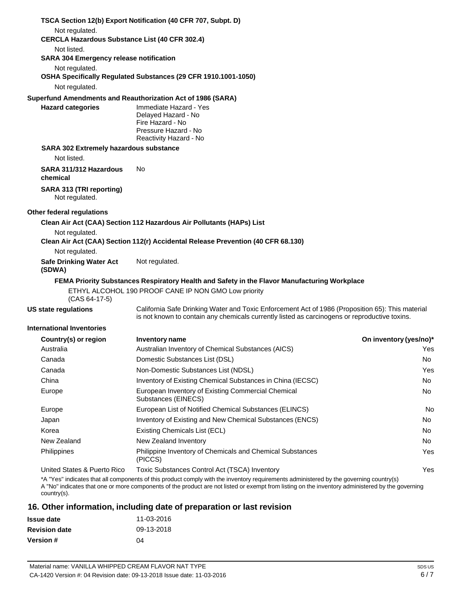|                                                               | TSCA Section 12(b) Export Notification (40 CFR 707, Subpt. D)                                                                                                                                                                                                                              |                        |
|---------------------------------------------------------------|--------------------------------------------------------------------------------------------------------------------------------------------------------------------------------------------------------------------------------------------------------------------------------------------|------------------------|
| Not regulated.                                                |                                                                                                                                                                                                                                                                                            |                        |
| <b>CERCLA Hazardous Substance List (40 CFR 302.4)</b>         |                                                                                                                                                                                                                                                                                            |                        |
| Not listed.<br><b>SARA 304 Emergency release notification</b> |                                                                                                                                                                                                                                                                                            |                        |
| Not regulated.                                                | OSHA Specifically Regulated Substances (29 CFR 1910.1001-1050)                                                                                                                                                                                                                             |                        |
| Not regulated.                                                |                                                                                                                                                                                                                                                                                            |                        |
| <b>Hazard categories</b>                                      | Superfund Amendments and Reauthorization Act of 1986 (SARA)<br>Immediate Hazard - Yes<br>Delayed Hazard - No<br>Fire Hazard - No<br>Pressure Hazard - No<br>Reactivity Hazard - No                                                                                                         |                        |
| <b>SARA 302 Extremely hazardous substance</b><br>Not listed.  |                                                                                                                                                                                                                                                                                            |                        |
| SARA 311/312 Hazardous<br>chemical                            | No.                                                                                                                                                                                                                                                                                        |                        |
| SARA 313 (TRI reporting)<br>Not regulated.                    |                                                                                                                                                                                                                                                                                            |                        |
| Other federal regulations                                     |                                                                                                                                                                                                                                                                                            |                        |
|                                                               | Clean Air Act (CAA) Section 112 Hazardous Air Pollutants (HAPs) List                                                                                                                                                                                                                       |                        |
| Not regulated.                                                | Clean Air Act (CAA) Section 112(r) Accidental Release Prevention (40 CFR 68.130)                                                                                                                                                                                                           |                        |
| Not regulated.                                                |                                                                                                                                                                                                                                                                                            |                        |
| <b>Safe Drinking Water Act</b><br>(SDWA)                      | Not regulated.                                                                                                                                                                                                                                                                             |                        |
|                                                               | FEMA Priority Substances Respiratory Health and Safety in the Flavor Manufacturing Workplace                                                                                                                                                                                               |                        |
| $(CAS 64-17-5)$                                               | ETHYL ALCOHOL 190 PROOF CANE IP NON GMO Low priority                                                                                                                                                                                                                                       |                        |
| <b>US state regulations</b>                                   | California Safe Drinking Water and Toxic Enforcement Act of 1986 (Proposition 65): This material<br>is not known to contain any chemicals currently listed as carcinogens or reproductive toxins.                                                                                          |                        |
| International Inventories                                     |                                                                                                                                                                                                                                                                                            |                        |
| Country(s) or region                                          | Inventory name                                                                                                                                                                                                                                                                             | On inventory (yes/no)* |
| Australia                                                     | Australian Inventory of Chemical Substances (AICS)                                                                                                                                                                                                                                         | Yes                    |
| Canada                                                        | Domestic Substances List (DSL)                                                                                                                                                                                                                                                             | No                     |
| Canada                                                        | Non-Domestic Substances List (NDSL)                                                                                                                                                                                                                                                        | Yes                    |
| China                                                         | Inventory of Existing Chemical Substances in China (IECSC)                                                                                                                                                                                                                                 | No.                    |
| Europe                                                        | European Inventory of Existing Commercial Chemical<br>Substances (EINECS)                                                                                                                                                                                                                  | No.                    |
| Europe                                                        | European List of Notified Chemical Substances (ELINCS)                                                                                                                                                                                                                                     | No                     |
| Japan                                                         | Inventory of Existing and New Chemical Substances (ENCS)                                                                                                                                                                                                                                   | No.                    |
| Korea                                                         | Existing Chemicals List (ECL)                                                                                                                                                                                                                                                              | No.                    |
| New Zealand                                                   | New Zealand Inventory                                                                                                                                                                                                                                                                      | No.                    |
| Philippines                                                   | Philippine Inventory of Chemicals and Chemical Substances<br>(PICCS)                                                                                                                                                                                                                       | Yes                    |
| United States & Puerto Rico                                   | Toxic Substances Control Act (TSCA) Inventory                                                                                                                                                                                                                                              | Yes                    |
| country(s).                                                   | *A "Yes" indicates that all components of this product comply with the inventory requirements administered by the governing country(s)<br>A "No" indicates that one or more components of the product are not listed or exempt from listing on the inventory administered by the governing |                        |

## **16. Other information, including date of preparation or last revision**

| <b>Issue date</b>    | 11-03-2016 |
|----------------------|------------|
| <b>Revision date</b> | 09-13-2018 |
| <b>Version#</b>      | 04         |